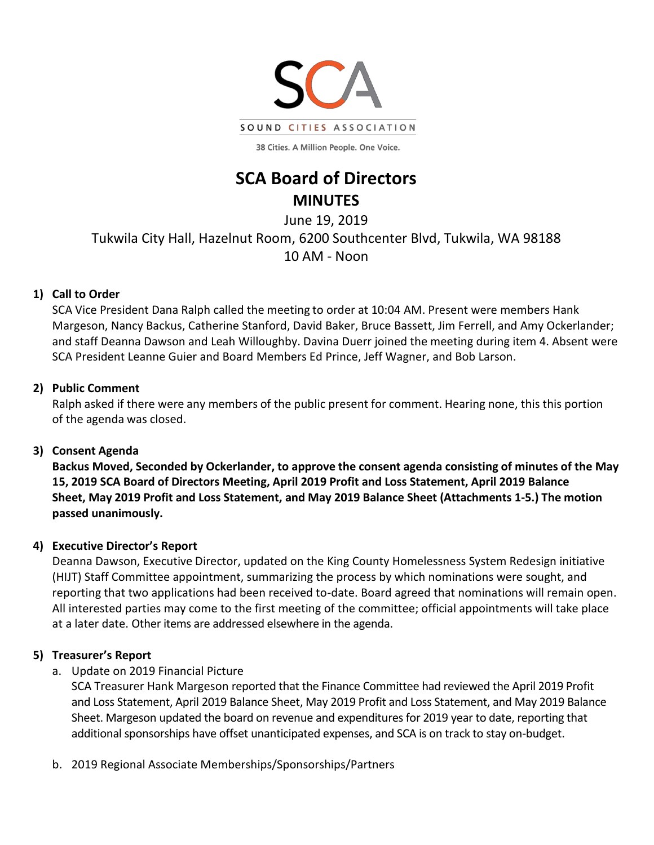

38 Cities. A Million People. One Voice.

# **SCA Board of Directors MINUTES**

June 19, 2019 Tukwila City Hall, Hazelnut Room, 6200 Southcenter Blvd, Tukwila, WA 98188 10 AM - Noon

# **1) Call to Order**

SCA Vice President Dana Ralph called the meeting to order at 10:04 AM. Present were members Hank Margeson, Nancy Backus, Catherine Stanford, David Baker, Bruce Bassett, Jim Ferrell, and Amy Ockerlander; and staff Deanna Dawson and Leah Willoughby. Davina Duerr joined the meeting during item 4. Absent were SCA President Leanne Guier and Board Members Ed Prince, Jeff Wagner, and Bob Larson.

# **2) Public Comment**

Ralph asked if there were any members of the public present for comment. Hearing none, this this portion of the agenda was closed.

# **3) Consent Agenda**

**Backus Moved, Seconded by Ockerlander, to approve the consent agenda consisting of minutes of the May 15, 2019 SCA Board of Directors Meeting, April 2019 Profit and Loss Statement, April 2019 Balance Sheet, May 2019 Profit and Loss Statement, and May 2019 Balance Sheet (Attachments 1-5.) The motion passed unanimously.**

# **4) Executive Director's Report**

Deanna Dawson, Executive Director, updated on the King County Homelessness System Redesign initiative (HIJT) Staff Committee appointment, summarizing the process by which nominations were sought, and reporting that two applications had been received to-date. Board agreed that nominations will remain open. All interested parties may come to the first meeting of the committee; official appointments will take place at a later date. Other items are addressed elsewhere in the agenda.

# **5) Treasurer's Report**

a. Update on 2019 Financial Picture

SCA Treasurer Hank Margeson reported that the Finance Committee had reviewed the April 2019 Profit and Loss Statement, April 2019 Balance Sheet, May 2019 Profit and Loss Statement, and May 2019 Balance Sheet. Margeson updated the board on revenue and expenditures for 2019 year to date, reporting that additional sponsorships have offset unanticipated expenses, and SCA is on track to stay on-budget.

b. 2019 Regional Associate Memberships/Sponsorships/Partners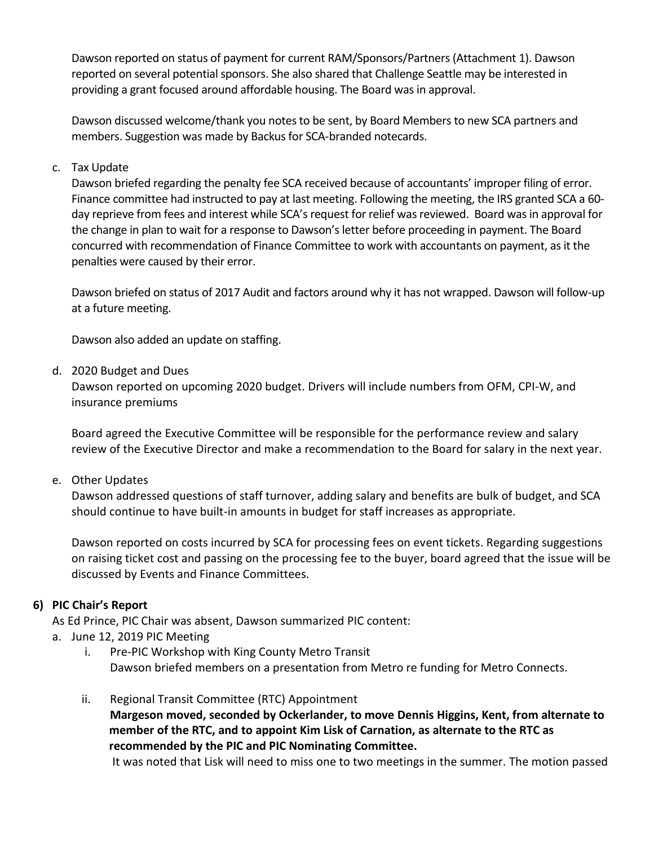Dawson reported on status of payment for current RAM/Sponsors/Partners (Attachment 1). Dawson reported on several potential sponsors. She also shared that Challenge Seattle may be interested in providing a grant focused around affordable housing. The Board was in approval.

Dawson discussed welcome/thank you notes to be sent, by Board Members to new SCA partners and members. Suggestion was made by Backus for SCA-branded notecards.

#### c. Tax Update

Dawson briefed regarding the penalty fee SCA received because of accountants' improper filing of error. Finance committee had instructed to pay at last meeting. Following the meeting, the IRS granted SCA a 60 day reprieve from fees and interest while SCA's request for relief was reviewed. Board was in approval for the change in plan to wait for a response to Dawson's letter before proceeding in payment. The Board concurred with recommendation of Finance Committee to work with accountants on payment, as it the penalties were caused by their error.

Dawson briefed on status of 2017 Audit and factors around why it has not wrapped. Dawson will follow-up at a future meeting.

Dawson also added an update on staffing.

d. 2020 Budget and Dues

Dawson reported on upcoming 2020 budget. Drivers will include numbers from OFM, CPI-W, and insurance premiums

Board agreed the Executive Committee will be responsible for the performance review and salary review of the Executive Director and make a recommendation to the Board for salary in the next year.

e. Other Updates

Dawson addressed questions of staff turnover, adding salary and benefits are bulk of budget, and SCA should continue to have built-in amounts in budget for staff increases as appropriate.

Dawson reported on costs incurred by SCA for processing fees on event tickets. Regarding suggestions on raising ticket cost and passing on the processing fee to the buyer, board agreed that the issue will be discussed by Events and Finance Committees.

### **6) PIC Chair's Report**

As Ed Prince, PIC Chair was absent, Dawson summarized PIC content:

- a. June 12, 2019 PIC Meeting
	- i. Pre-PIC Workshop with King County Metro Transit Dawson briefed members on a presentation from Metro re funding for Metro Connects.
	- ii. Regional Transit Committee (RTC) Appointment **Margeson moved, seconded by Ockerlander, to move Dennis Higgins, Kent, from alternate to member of the RTC, and to appoint Kim Lisk of Carnation, as alternate to the RTC as recommended by the PIC and PIC Nominating Committee.**

It was noted that Lisk will need to miss one to two meetings in the summer. The motion passed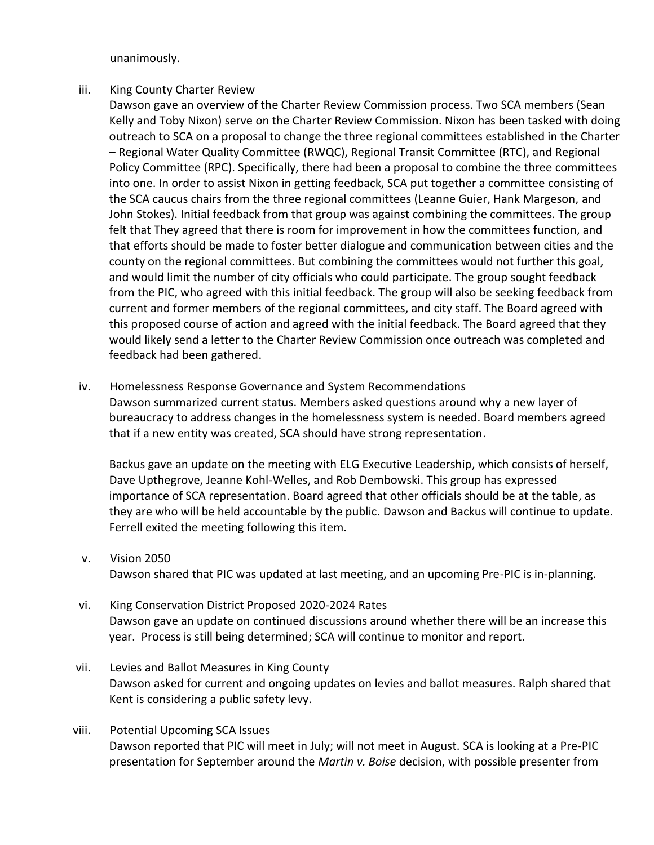unanimously.

#### iii. King County Charter Review

Dawson gave an overview of the Charter Review Commission process. Two SCA members (Sean Kelly and Toby Nixon) serve on the Charter Review Commission. Nixon has been tasked with doing outreach to SCA on a proposal to change the three regional committees established in the Charter – Regional Water Quality Committee (RWQC), Regional Transit Committee (RTC), and Regional Policy Committee (RPC). Specifically, there had been a proposal to combine the three committees into one. In order to assist Nixon in getting feedback, SCA put together a committee consisting of the SCA caucus chairs from the three regional committees (Leanne Guier, Hank Margeson, and John Stokes). Initial feedback from that group was against combining the committees. The group felt that They agreed that there is room for improvement in how the committees function, and that efforts should be made to foster better dialogue and communication between cities and the county on the regional committees. But combining the committees would not further this goal, and would limit the number of city officials who could participate. The group sought feedback from the PIC, who agreed with this initial feedback. The group will also be seeking feedback from current and former members of the regional committees, and city staff. The Board agreed with this proposed course of action and agreed with the initial feedback. The Board agreed that they would likely send a letter to the Charter Review Commission once outreach was completed and feedback had been gathered.

#### iv. Homelessness Response Governance and System Recommendations

Dawson summarized current status. Members asked questions around why a new layer of bureaucracy to address changes in the homelessness system is needed. Board members agreed that if a new entity was created, SCA should have strong representation.

Backus gave an update on the meeting with ELG Executive Leadership, which consists of herself, Dave Upthegrove, Jeanne Kohl-Welles, and Rob Dembowski. This group has expressed importance of SCA representation. Board agreed that other officials should be at the table, as they are who will be held accountable by the public. Dawson and Backus will continue to update. Ferrell exited the meeting following this item.

#### v. Vision 2050

Dawson shared that PIC was updated at last meeting, and an upcoming Pre-PIC is in-planning.

- vi. King Conservation District Proposed 2020-2024 Rates Dawson gave an update on continued discussions around whether there will be an increase this year. Process is still being determined; SCA will continue to monitor and report.
- vii. Levies and Ballot Measures in King County Dawson asked for current and ongoing updates on levies and ballot measures. Ralph shared that Kent is considering a public safety levy.
- viii. Potential Upcoming SCA Issues Dawson reported that PIC will meet in July; will not meet in August. SCA is looking at a Pre-PIC presentation for September around the *Martin v. Boise* decision, with possible presenter from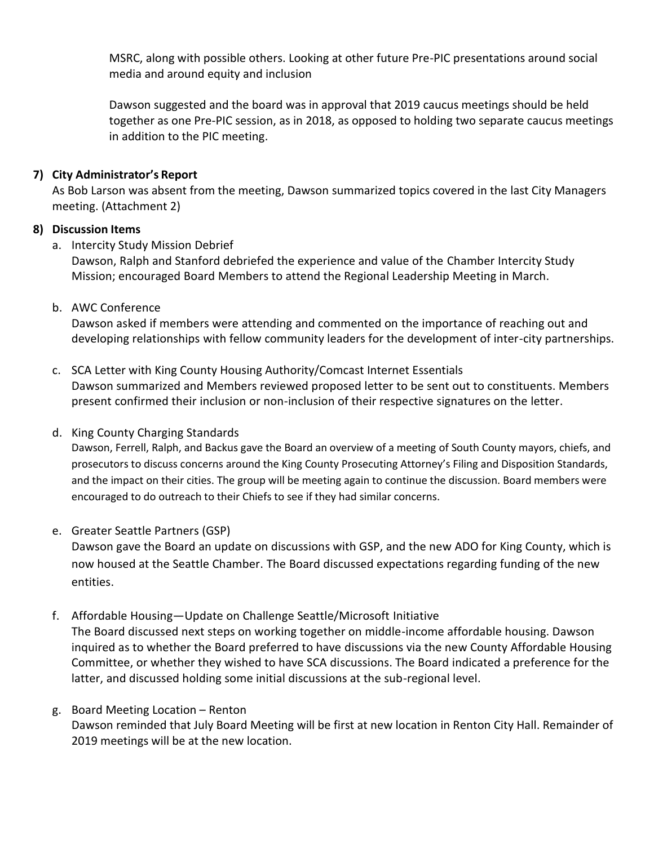MSRC, along with possible others. Looking at other future Pre-PIC presentations around social media and around equity and inclusion

Dawson suggested and the board was in approval that 2019 caucus meetings should be held together as one Pre-PIC session, as in 2018, as opposed to holding two separate caucus meetings in addition to the PIC meeting.

### **7) City Administrator's Report**

As Bob Larson was absent from the meeting, Dawson summarized topics covered in the last City Managers meeting. (Attachment 2)

### **8) Discussion Items**

a. Intercity Study Mission Debrief

Dawson, Ralph and Stanford debriefed the experience and value of the Chamber Intercity Study Mission; encouraged Board Members to attend the Regional Leadership Meeting in March.

b. AWC Conference

Dawson asked if members were attending and commented on the importance of reaching out and developing relationships with fellow community leaders for the development of inter-city partnerships.

- c. SCA Letter with King County Housing Authority/Comcast Internet Essentials Dawson summarized and Members reviewed proposed letter to be sent out to constituents. Members present confirmed their inclusion or non-inclusion of their respective signatures on the letter.
- d. King County Charging Standards

Dawson, Ferrell, Ralph, and Backus gave the Board an overview of a meeting of South County mayors, chiefs, and prosecutors to discuss concerns around the King County Prosecuting Attorney's Filing and Disposition Standards, and the impact on their cities. The group will be meeting again to continue the discussion. Board members were encouraged to do outreach to their Chiefs to see if they had similar concerns.

e. Greater Seattle Partners (GSP)

Dawson gave the Board an update on discussions with GSP, and the new ADO for King County, which is now housed at the Seattle Chamber. The Board discussed expectations regarding funding of the new entities.

f. Affordable Housing—Update on Challenge Seattle/Microsoft Initiative

The Board discussed next steps on working together on middle-income affordable housing. Dawson inquired as to whether the Board preferred to have discussions via the new County Affordable Housing Committee, or whether they wished to have SCA discussions. The Board indicated a preference for the latter, and discussed holding some initial discussions at the sub-regional level.

g. Board Meeting Location – Renton Dawson reminded that July Board Meeting will be first at new location in Renton City Hall. Remainder of 2019 meetings will be at the new location.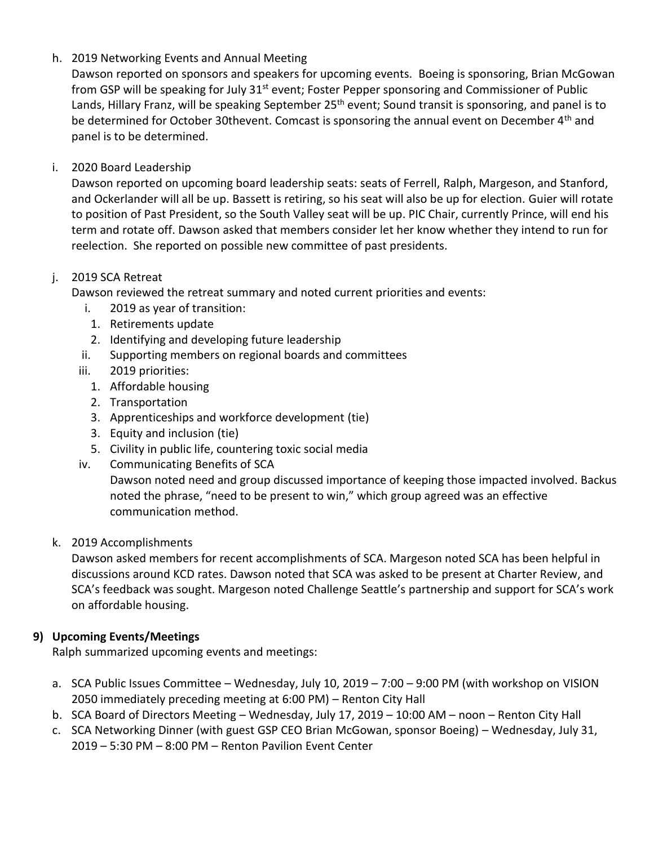## h. 2019 Networking Events and Annual Meeting

Dawson reported on sponsors and speakers for upcoming events. Boeing is sponsoring, Brian McGowan from GSP will be speaking for July 31<sup>st</sup> event; Foster Pepper sponsoring and Commissioner of Public Lands, Hillary Franz, will be speaking September 25<sup>th</sup> event; Sound transit is sponsoring, and panel is to be determined for October 30thevent. Comcast is sponsoring the annual event on December 4<sup>th</sup> and panel is to be determined.

### i. 2020 Board Leadership

Dawson reported on upcoming board leadership seats: seats of Ferrell, Ralph, Margeson, and Stanford, and Ockerlander will all be up. Bassett is retiring, so his seat will also be up for election. Guier will rotate to position of Past President, so the South Valley seat will be up. PIC Chair, currently Prince, will end his term and rotate off. Dawson asked that members consider let her know whether they intend to run for reelection. She reported on possible new committee of past presidents.

### j. 2019 SCA Retreat

Dawson reviewed the retreat summary and noted current priorities and events:

- i. 2019 as year of transition:
- 1. Retirements update
- 2. Identifying and developing future leadership
- ii. Supporting members on regional boards and committees
- iii. 2019 priorities:
	- 1. Affordable housing
	- 2. Transportation
	- 3. Apprenticeships and workforce development (tie)
	- 3. Equity and inclusion (tie)
	- 5. Civility in public life, countering toxic social media
- iv. Communicating Benefits of SCA

Dawson noted need and group discussed importance of keeping those impacted involved. Backus noted the phrase, "need to be present to win," which group agreed was an effective communication method.

### k. 2019 Accomplishments

Dawson asked members for recent accomplishments of SCA. Margeson noted SCA has been helpful in discussions around KCD rates. Dawson noted that SCA was asked to be present at Charter Review, and SCA's feedback was sought. Margeson noted Challenge Seattle's partnership and support for SCA's work on affordable housing.

# **9) Upcoming Events/Meetings**

Ralph summarized upcoming events and meetings:

- a. SCA Public Issues Committee Wednesday, July 10, 2019 7:00 9:00 PM (with workshop on VISION 2050 immediately preceding meeting at 6:00 PM) – Renton City Hall
- b. SCA Board of Directors Meeting Wednesday, July 17, 2019 10:00 AM noon Renton City Hall
- c. SCA Networking Dinner (with guest GSP CEO Brian McGowan, sponsor Boeing) Wednesday, July 31, 2019 – 5:30 PM – 8:00 PM – Renton Pavilion Event Center